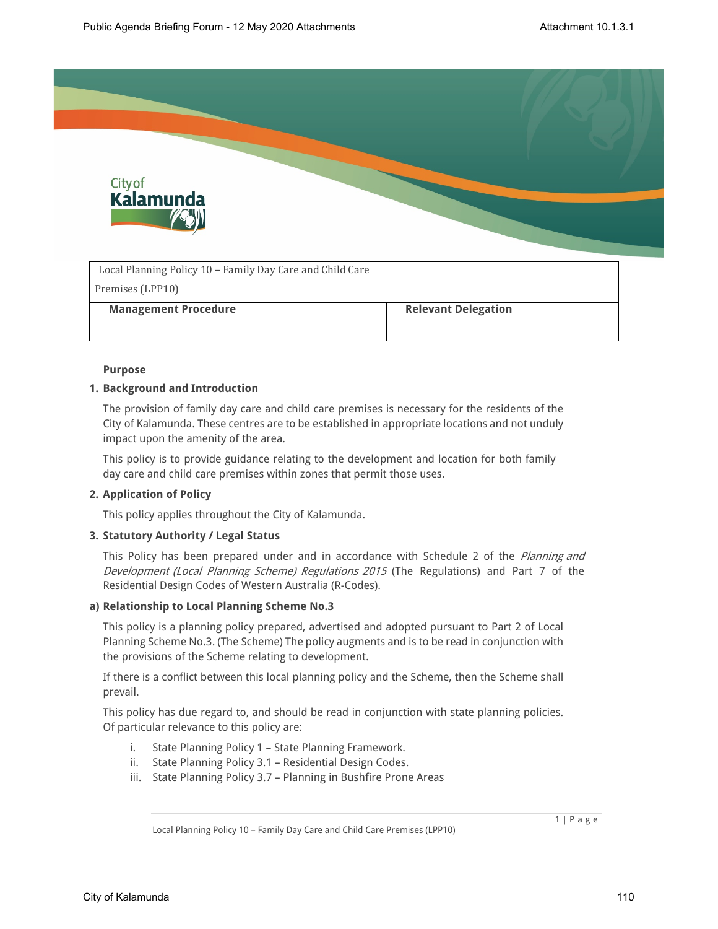

| Local Planning Policy 10 – Family Day Care and Child Care |                            |
|-----------------------------------------------------------|----------------------------|
| Premises (LPP10)                                          |                            |
| <b>Management Procedure</b>                               | <b>Relevant Delegation</b> |
|                                                           |                            |

## **Purpose**

## **1. Background and Introduction**

The provision of family day care and child care premises is necessary for the residents of the City of Kalamunda. These centres are to be established in appropriate locations and not unduly impact upon the amenity of the area.

This policy is to provide guidance relating to the development and location for both family day care and child care premises within zones that permit those uses.

## **2. Application of Policy**

This policy applies throughout the City of Kalamunda.

## **3. Statutory Authority / Legal Status**

This Policy has been prepared under and in accordance with Schedule 2 of the *Planning and Development (Local Planning Scheme) Regulations 2015* (The Regulations) and Part 7 of the Residential Design Codes of Western Australia (R-Codes).

## **a) Relationship to Local Planning Scheme No.3**

This policy is a planning policy prepared, advertised and adopted pursuant to Part 2 of Local Planning Scheme No.3. (The Scheme) The policy augments and is to be read in conjunction with the provisions of the Scheme relating to development.

If there is a conflict between this local planning policy and the Scheme, then the Scheme shall prevail.

This policy has due regard to, and should be read in conjunction with state planning policies. Of particular relevance to this policy are:

- i. State Planning Policy 1 State Planning Framework.
- ii. State Planning Policy 3.1 Residential Design Codes.
- iii. State Planning Policy 3.7 Planning in Bushfire Prone Areas

Local Planning Policy 10 – Family Day Care and Child Care Premises (LPP10)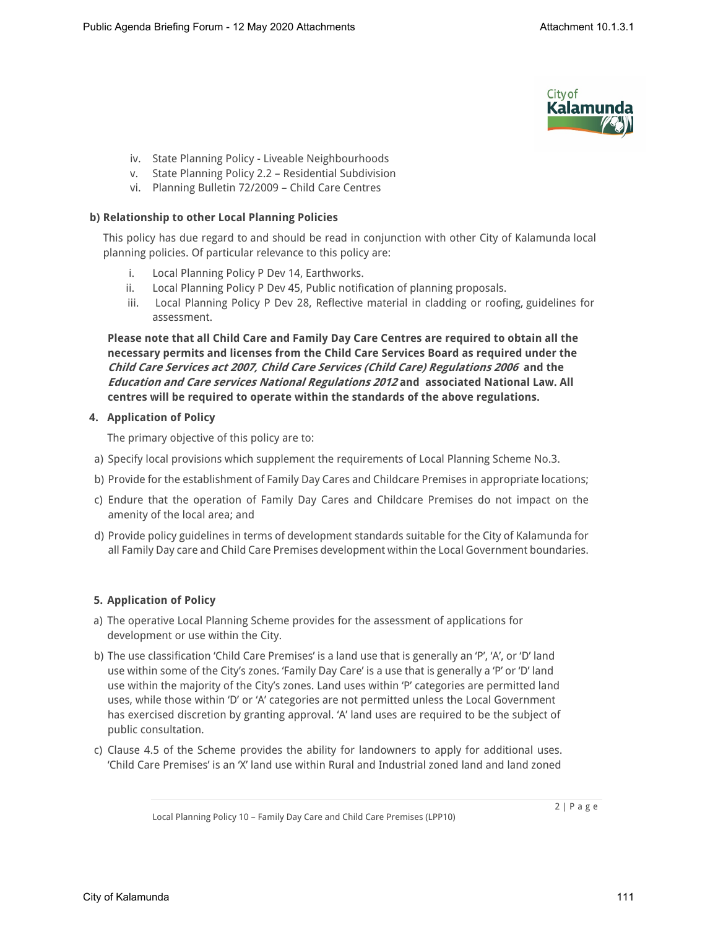

- iv. State Planning Policy Liveable Neighbourhoods
- v. State Planning Policy 2.2 Residential Subdivision
- vi. Planning Bulletin 72/2009 Child Care Centres

## **b) Relationship to other Local Planning Policies**

This policy has due regard to and should be read in conjunction with other City of Kalamunda local planning policies. Of particular relevance to this policy are:

- i. Local Planning Policy P Dev 14, Earthworks.
- ii. Local Planning Policy P Dev 45, Public notification of planning proposals.
- iii. Local Planning Policy P Dev 28, Reflective material in cladding or roofing, guidelines for assessment.

**Please note that all Child Care and Family Day Care Centres are required to obtain all the necessary permits and licenses from the Child Care Services Board as required under the**  *Child Care Services act 2007, Child Care Services (Child Care) Regulations 2006* **and the**  *Education and Care services National Regulations 2012* **and associated National Law. All centres will be required to operate within the standards of the above regulations.**

# **4. Application of Policy**

The primary objective of this policy are to:

- a) Specify local provisions which supplement the requirements of Local Planning Scheme No.3.
- b) Provide for the establishment of Family Day Cares and Childcare Premises in appropriate locations;
- c) Endure that the operation of Family Day Cares and Childcare Premises do not impact on the amenity of the local area; and
- d) Provide policy guidelines in terms of development standards suitable for the City of Kalamunda for all Family Day care and Child Care Premises development within the Local Government boundaries.

# **5. Application of Policy**

- a) The operative Local Planning Scheme provides for the assessment of applications for development or use within the City.
- b) The use classification 'Child Care Premises' is a land use that is generally an 'P', 'A', or 'D' land use within some of the City's zones. 'Family Day Care' is a use that is generally a 'P' or 'D' land use within the majority of the City's zones. Land uses within 'P' categories are permitted land uses, while those within 'D' or 'A' categories are not permitted unless the Local Government has exercised discretion by granting approval. 'A' land uses are required to be the subject of public consultation.
- c) Clause 4.5 of the Scheme provides the ability for landowners to apply for additional uses. 'Child Care Premises' is an 'X' land use within Rural and Industrial zoned land and land zoned

Local Planning Policy 10 – Family Day Care and Child Care Premises (LPP10)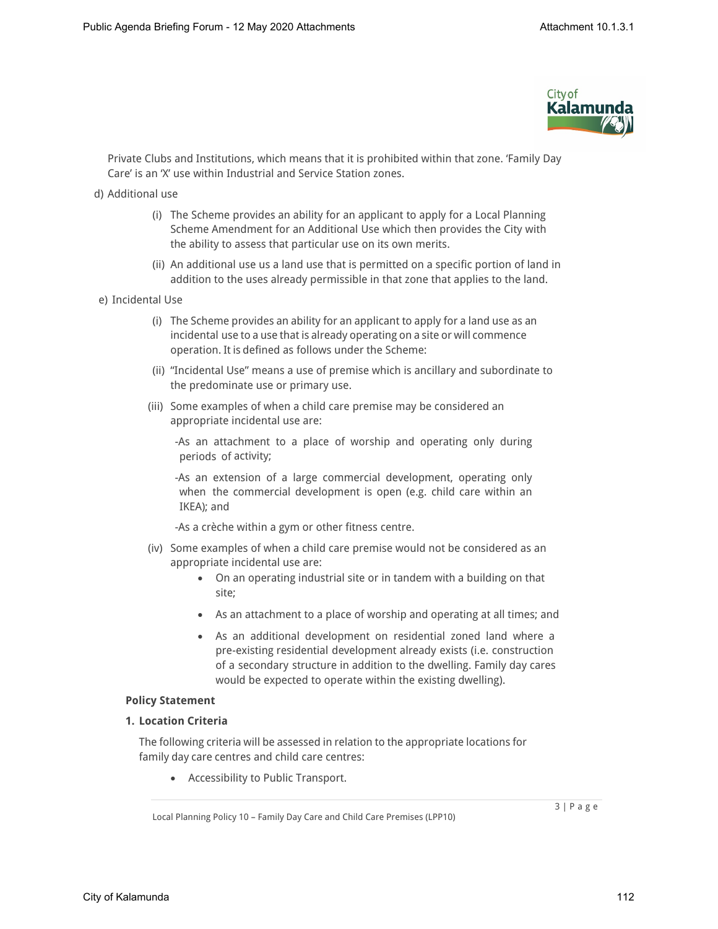

Private Clubs and Institutions, which means that it is prohibited within that zone. 'Family Day Care' is an 'X' use within Industrial and Service Station zones.

- d) Additional use
	- (i) The Scheme provides an ability for an applicant to apply for a Local Planning Scheme Amendment for an Additional Use which then provides the City with the ability to assess that particular use on its own merits.
	- (ii) An additional use us a land use that is permitted on a specific portion of land in addition to the uses already permissible in that zone that applies to the land.
- e) Incidental Use
	- (i) The Scheme provides an ability for an applicant to apply for a land use as an incidental use to a use that is already operating on a site or will commence operation. It is defined as follows under the Scheme:
	- (ii) "Incidental Use" means a use of premise which is ancillary and subordinate to the predominate use or primary use.
	- (iii) Some examples of when a child care premise may be considered an appropriate incidental use are:

-As an attachment to a place of worship and operating only during periods of activity;

-As an extension of a large commercial development, operating only when the commercial development is open (e.g. child care within an IKEA); and

-As a crèche within a gym or other fitness centre.

- (iv) Some examples of when a child care premise would not be considered as an appropriate incidental use are:
	- On an operating industrial site or in tandem with a building on that site;
	- As an attachment to a place of worship and operating at all times; and
	- As an additional development on residential zoned land where a pre-existing residential development already exists (i.e. construction of a secondary structure in addition to the dwelling. Family day cares would be expected to operate within the existing dwelling).

#### **Policy Statement**

## **1. Location Criteria**

The following criteria will be assessed in relation to the appropriate locations for family day care centres and child care centres:

Accessibility to Public Transport.

Local Planning Policy 10 – Family Day Care and Child Care Premises (LPP10)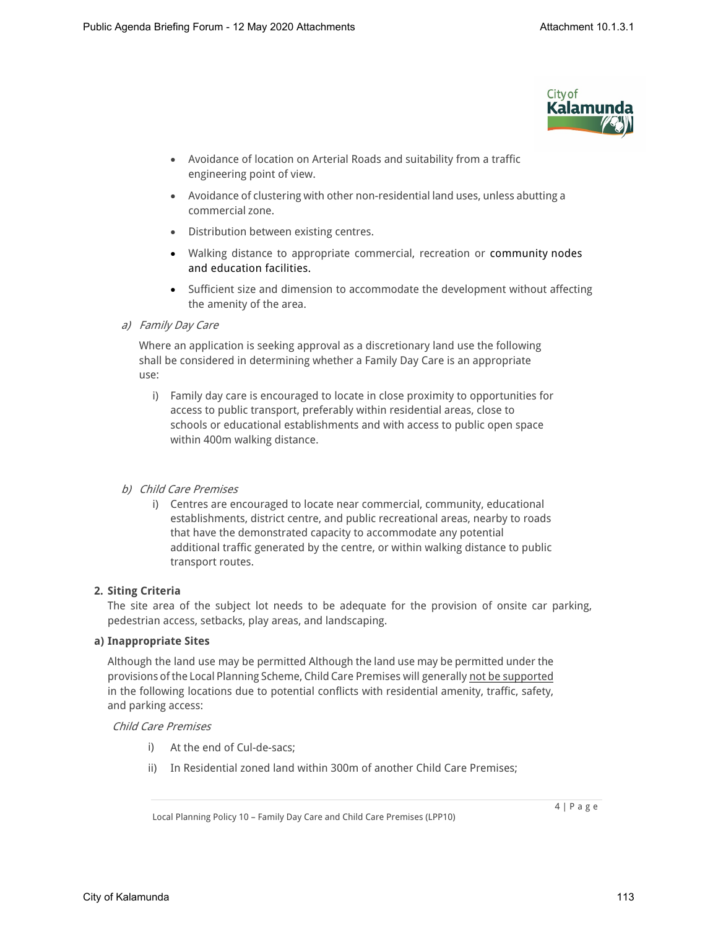

- Avoidance of location on Arterial Roads and suitability from a traffic engineering point of view.
- Avoidance of clustering with other non-residential land uses, unless abutting a commercial zone.
- Distribution between existing centres.
- Walking distance to appropriate commercial, recreation or community nodes and education facilities.
- Sufficient size and dimension to accommodate the development without affecting the amenity of the area.

*a) Family Day Care*

Where an application is seeking approval as a discretionary land use the following shall be considered in determining whether a Family Day Care is an appropriate use:

i) Family day care is encouraged to locate in close proximity to opportunities for access to public transport, preferably within residential areas, close to schools or educational establishments and with access to public open space within 400m walking distance.

# *b) Child Care Premises*

i) Centres are encouraged to locate near commercial, community, educational establishments, district centre, and public recreational areas, nearby to roads that have the demonstrated capacity to accommodate any potential additional traffic generated by the centre, or within walking distance to public transport routes.

## **2. Siting Criteria**

The site area of the subject lot needs to be adequate for the provision of onsite car parking, pedestrian access, setbacks, play areas, and landscaping.

## **a) Inappropriate Sites**

Although the land use may be permitted Although the land use may be permitted under the provisions of the Local Planning Scheme, Child Care Premises will generally not be supported in the following locations due to potential conflicts with residential amenity, traffic, safety, and parking access:

# *Child Care Premises*

- i) At the end of Cul-de-sacs;
- ii) In Residential zoned land within 300m of another Child Care Premises;

Local Planning Policy 10 – Family Day Care and Child Care Premises (LPP10)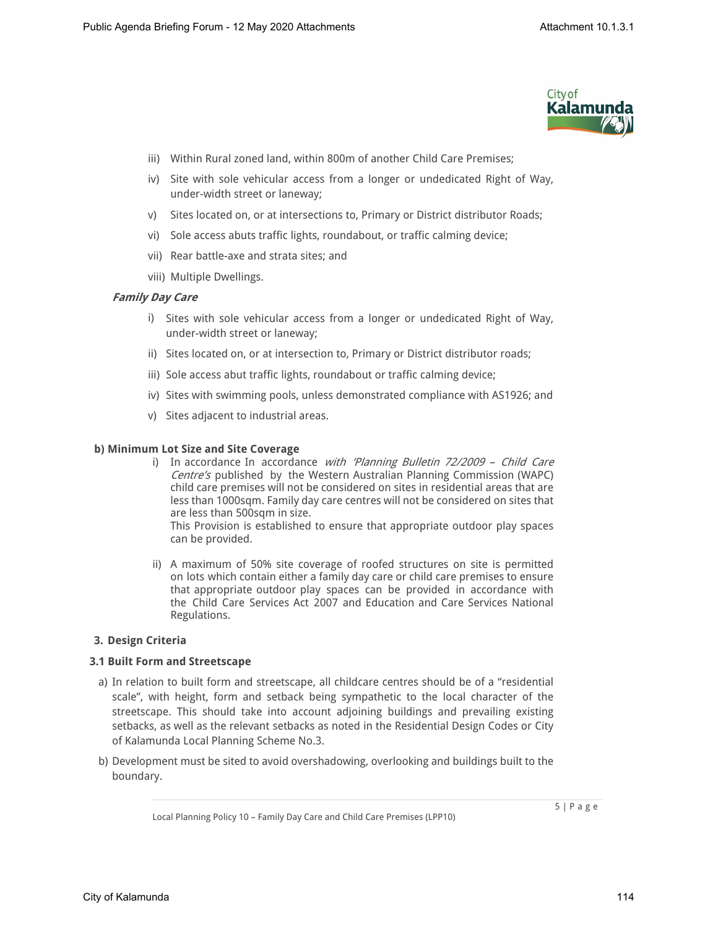

- iii) Within Rural zoned land, within 800m of another Child Care Premises;
- iv) Site with sole vehicular access from a longer or undedicated Right of Way, under-width street or laneway;
- v) Sites located on, or at intersections to, Primary or District distributor Roads;
- vi) Sole access abuts traffic lights, roundabout, or traffic calming device;
- vii) Rear battle-axe and strata sites; and
- viii) Multiple Dwellings.

## *Family Day Care*

- i) Sites with sole vehicular access from a longer or undedicated Right of Way, under-width street or laneway;
- ii) Sites located on, or at intersection to, Primary or District distributor roads;
- iii) Sole access abut traffic lights, roundabout or traffic calming device;
- iv) Sites with swimming pools, unless demonstrated compliance with AS1926; and
- v) Sites adjacent to industrial areas.

#### **b) Minimum Lot Size and Site Coverage**

i) In accordance In accordance *with 'Planning Bulletin 72/2009 – Child Care Centre's* published by the Western Australian Planning Commission (WAPC) child care premises will not be considered on sites in residential areas that are less than 1000sqm. Family day care centres will not be considered on sites that are less than 500sqm in size.

This Provision is established to ensure that appropriate outdoor play spaces can be provided.

ii) A maximum of 50% site coverage of roofed structures on site is permitted on lots which contain either a family day care or child care premises to ensure that appropriate outdoor play spaces can be provided in accordance with the Child Care Services Act 2007 and Education and Care Services National Regulations.

## **3. Design Criteria**

#### **3.1 Built Form and Streetscape**

- a) In relation to built form and streetscape, all childcare centres should be of a "residential scale", with height, form and setback being sympathetic to the local character of the streetscape. This should take into account adjoining buildings and prevailing existing setbacks, as well as the relevant setbacks as noted in the Residential Design Codes or City of Kalamunda Local Planning Scheme No.3.
- b) Development must be sited to avoid overshadowing, overlooking and buildings built to the boundary.

Local Planning Policy 10 – Family Day Care and Child Care Premises (LPP10)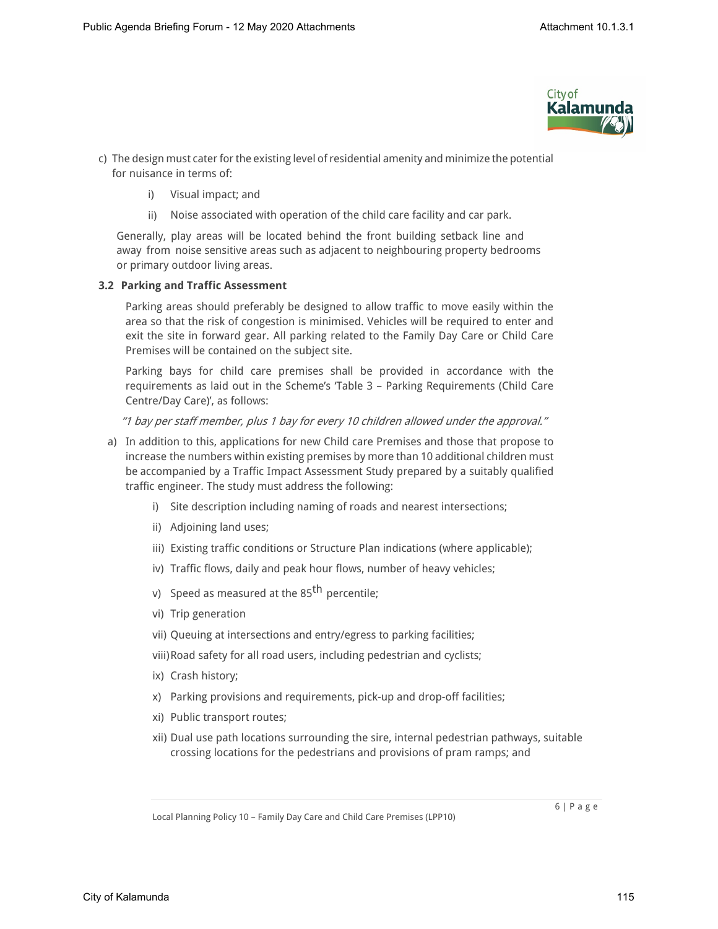

- c) The design must cater for the existing level of residential amenity and minimize the potential for nuisance in terms of:
	- i) Visual impact; and
	- ii) Noise associated with operation of the child care facility and car park.

Generally, play areas will be located behind the front building setback line and away from noise sensitive areas such as adjacent to neighbouring property bedrooms or primary outdoor living areas.

## **3.2 Parking and Traffic Assessment**

Parking areas should preferably be designed to allow traffic to move easily within the area so that the risk of congestion is minimised. Vehicles will be required to enter and exit the site in forward gear. All parking related to the Family Day Care or Child Care Premises will be contained on the subject site.

Parking bays for child care premises shall be provided in accordance with the requirements as laid out in the Scheme's 'Table 3 – Parking Requirements (Child Care Centre/Day Care)', as follows:

*"1 bay per staff member, plus 1 bay for every 10 children allowed under the approval."*

- a) In addition to this, applications for new Child care Premises and those that propose to increase the numbers within existing premises by more than 10 additional children must be accompanied by a Traffic Impact Assessment Study prepared by a suitably qualified traffic engineer. The study must address the following:
	- i) Site description including naming of roads and nearest intersections;
	- ii) Adjoining land uses;
	- iii) Existing traffic conditions or Structure Plan indications (where applicable);
	- iv) Traffic flows, daily and peak hour flows, number of heavy vehicles;
	- v) Speed as measured at the  $85<sup>th</sup>$  percentile;
	- vi) Trip generation
	- vii) Queuing at intersections and entry/egress to parking facilities;
	- viii)Road safety for all road users, including pedestrian and cyclists;
	- ix) Crash history;
	- x) Parking provisions and requirements, pick-up and drop-off facilities;
	- xi) Public transport routes;
	- xii) Dual use path locations surrounding the sire, internal pedestrian pathways, suitable crossing locations for the pedestrians and provisions of pram ramps; and

Local Planning Policy 10 – Family Day Care and Child Care Premises (LPP10)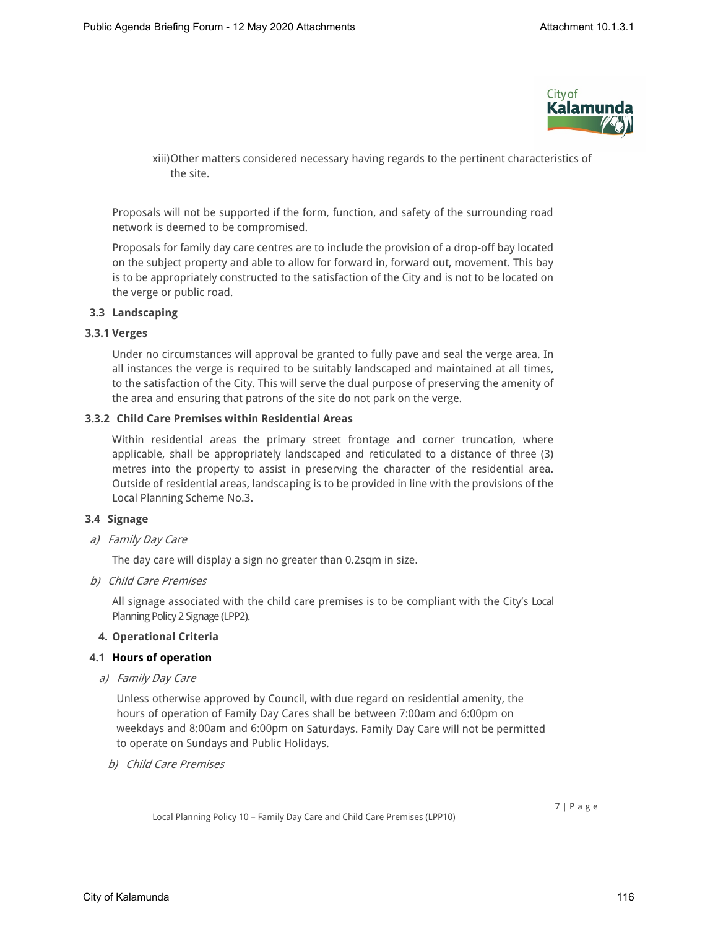

xiii)Other matters considered necessary having regards to the pertinent characteristics of the site.

Proposals will not be supported if the form, function, and safety of the surrounding road network is deemed to be compromised.

Proposals for family day care centres are to include the provision of a drop-off bay located on the subject property and able to allow for forward in, forward out, movement. This bay is to be appropriately constructed to the satisfaction of the City and is not to be located on the verge or public road.

## **3.3 Landscaping**

#### **3.3.1 Verges**

Under no circumstances will approval be granted to fully pave and seal the verge area. In all instances the verge is required to be suitably landscaped and maintained at all times, to the satisfaction of the City. This will serve the dual purpose of preserving the amenity of the area and ensuring that patrons of the site do not park on the verge.

## **3.3.2 Child Care Premises within Residential Areas**

Within residential areas the primary street frontage and corner truncation, where applicable, shall be appropriately landscaped and reticulated to a distance of three (3) metres into the property to assist in preserving the character of the residential area. Outside of residential areas, landscaping is to be provided in line with the provisions of the Local Planning Scheme No.3.

## **3.4 Signage**

*a) Family Day Care*

The day care will display a sign no greater than 0.2sqm in size.

*b) Child Care Premises*

All signage associated with the child care premises is to be compliant with the City's Local Planning Policy 2 Signage (LPP2).

## **4. Operational Criteria**

## **4.1 Hours of operation**

*a) Family Day Care*

Unless otherwise approved by Council, with due regard on residential amenity, the hours of operation of Family Day Cares shall be between 7:00am and 6:00pm on weekdays and 8:00am and 6:00pm on Saturdays. Family Day Care will not be permitted to operate on Sundays and Public Holidays.

*b) Child Care Premises*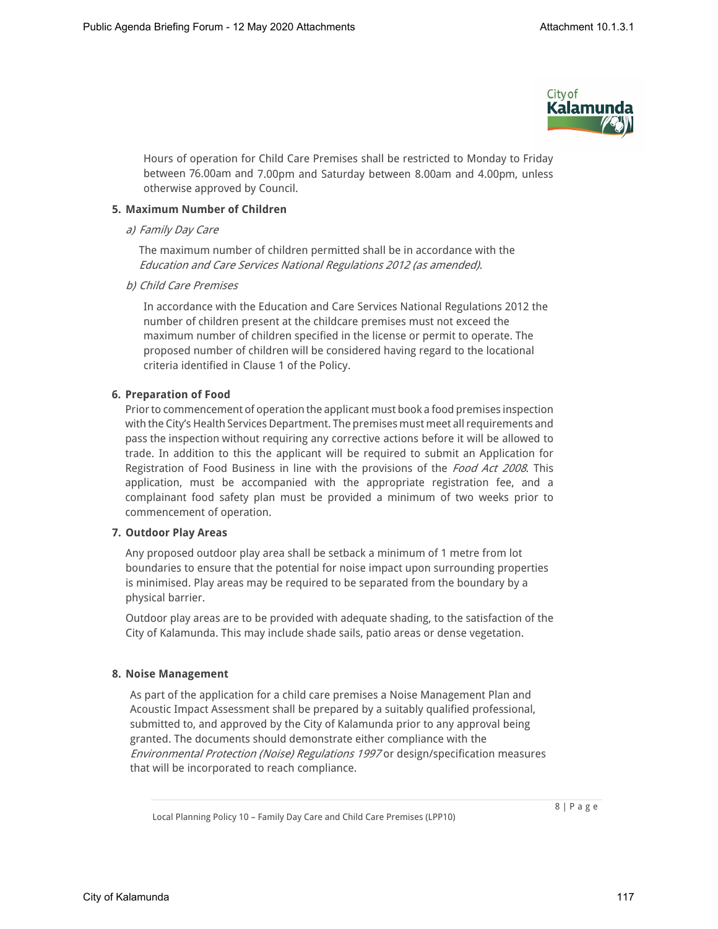

Hours of operation for Child Care Premises shall be restricted to Monday to Friday between 76.00am and 7.00pm and Saturday between 8.00am and 4.00pm, unless otherwise approved by Council.

## **5. Maximum Number of Children**

## *a) Family Day Care*

The maximum number of children permitted shall be in accordance with the *Education and Care Services National Regulations 2012 (as amended).*

*b) Child Care Premises*

In accordance with the Education and Care Services National Regulations 2012 the number of children present at the childcare premises must not exceed the maximum number of children specified in the license or permit to operate. The proposed number of children will be considered having regard to the locational criteria identified in Clause 1 of the Policy.

# **6. Preparation of Food**

Prior to commencement of operation the applicant must book a food premises inspection with the City's Health Services Department. The premises must meet all requirements and pass the inspection without requiring any corrective actions before it will be allowed to trade. In addition to this the applicant will be required to submit an Application for Registration of Food Business in line with the provisions of the *Food Act 2008*. This application, must be accompanied with the appropriate registration fee, and a complainant food safety plan must be provided a minimum of two weeks prior to commencement of operation.

## **7. Outdoor Play Areas**

Any proposed outdoor play area shall be setback a minimum of 1 metre from lot boundaries to ensure that the potential for noise impact upon surrounding properties is minimised. Play areas may be required to be separated from the boundary by a physical barrier.

Outdoor play areas are to be provided with adequate shading, to the satisfaction of the City of Kalamunda. This may include shade sails, patio areas or dense vegetation.

## **8. Noise Management**

As part of the application for a child care premises a Noise Management Plan and Acoustic Impact Assessment shall be prepared by a suitably qualified professional, submitted to, and approved by the City of Kalamunda prior to any approval being granted. The documents should demonstrate either compliance with the *Environmental Protection (Noise) Regulations 1997* or design/specification measures that will be incorporated to reach compliance.

Local Planning Policy 10 – Family Day Care and Child Care Premises (LPP10)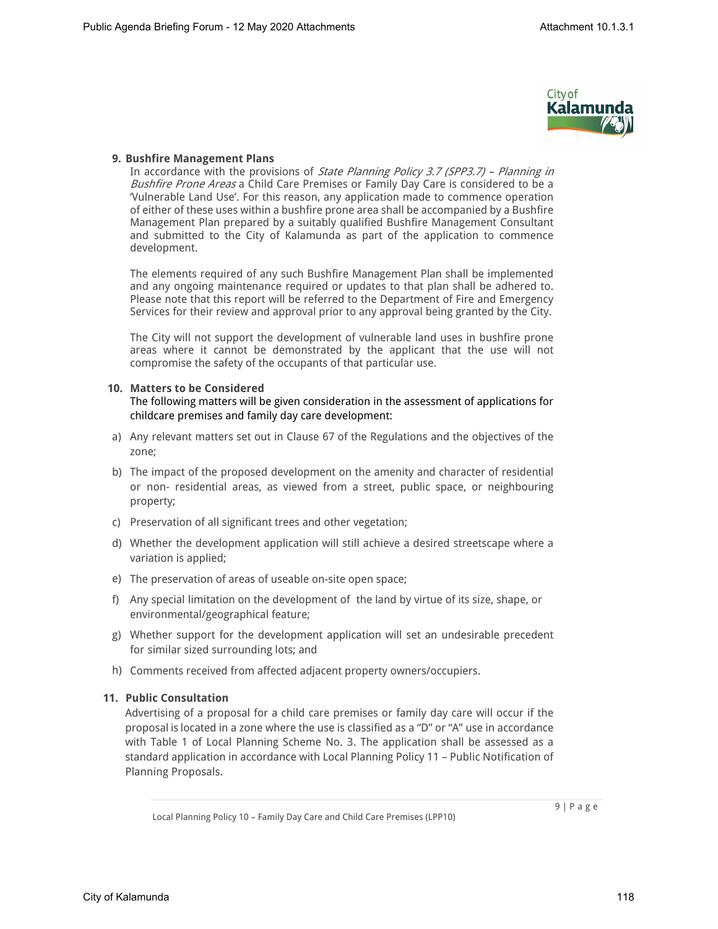

## **9. Bushfire Management Plans**

In accordance with the provisions of *State Planning Policy 3.7 (SPP3.7) – Planning in Bushfire Prone Areas* a Child Care Premises or Family Day Care is considered to be a 'Vulnerable Land Use'. For this reason, any application made to commence operation of either of these uses within a bushfire prone area shall be accompanied by a Bushfire Management Plan prepared by a suitably qualified Bushfire Management Consultant and submitted to the City of Kalamunda as part of the application to commence development.

The elements required of any such Bushfire Management Plan shall be implemented and any ongoing maintenance required or updates to that plan shall be adhered to. Please note that this report will be referred to the Department of Fire and Emergency Services for their review and approval prior to any approval being granted by the City.

The City will not support the development of vulnerable land uses in bushfire prone areas where it cannot be demonstrated by the applicant that the use will not compromise the safety of the occupants of that particular use.

#### **10. Matters to be Considered**

The following matters will be given consideration in the assessment of applications for childcare premises and family day care development:

- a) Any relevant matters set out in Clause 67 of the Regulations and the objectives of the zone;
- b) The impact of the proposed development on the amenity and character of residential or non- residential areas, as viewed from a street, public space, or neighbouring property;
- c) Preservation of all significant trees and other vegetation;
- d) Whether the development application will still achieve a desired streetscape where a variation is applied;
- e) The preservation of areas of useable on-site open space;
- f) Any special limitation on the development of the land by virtue of its size, shape, or environmental/geographical feature;
- g) Whether support for the development application will set an undesirable precedent for similar sized surrounding lots; and
- h) Comments received from affected adjacent property owners/occupiers.

## **11. Public Consultation**

Advertising of a proposal for a child care premises or family day care will occur if the proposal is located in a zone where the use is classified as a "D" or "A" use in accordance with Table 1 of Local Planning Scheme No. 3. The application shall be assessed as a standard application in accordance with Local Planning Policy 11 – Public Notification of Planning Proposals.

Local Planning Policy 10 – Family Day Care and Child Care Premises (LPP10)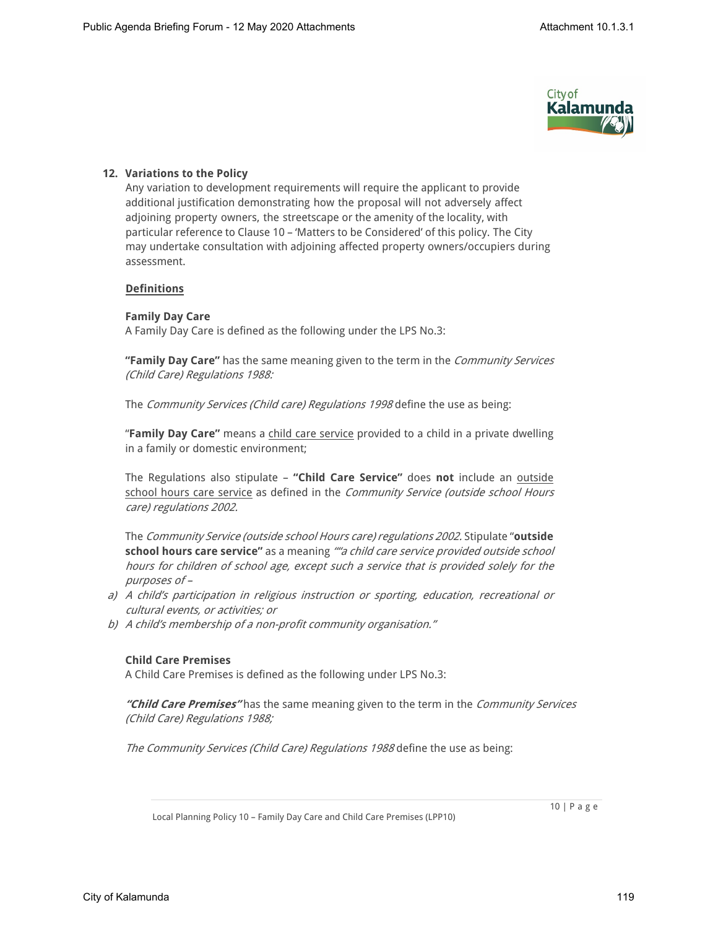

# **12. Variations to the Policy**

Any variation to development requirements will require the applicant to provide additional justification demonstrating how the proposal will not adversely affect adjoining property owners, the streetscape or the amenity of the locality, with particular reference to Clause 10 – 'Matters to be Considered' of this policy. The City may undertake consultation with adjoining affected property owners/occupiers during assessment.

## **Definitions**

## **Family Day Care**

A Family Day Care is defined as the following under the LPS No.3:

**"Family Day Care"** has the same meaning given to the term in the *Community Services (Child Care) Regulations 1988:*

The *Community Services (Child care) Regulations 1998* define the use as being:

"**Family Day Care"** means a child care service provided to a child in a private dwelling in a family or domestic environment;

The Regulations also stipulate – **"Child Care Service"** does **not** include an outside school hours care service as defined in the *Community Service (outside school Hours care) regulations 2002.*

The *Community Service (outside school Hours care) regulations 2002.* Stipulate "**outside school hours care service"** as a meaning *""a child care service provided outside school hours for children of school age, except such a service that is provided solely for the purposes of –* 

- *a) A child's participation in religious instruction or sporting, education, recreational or cultural events, or activities; or*
- *b) A child's membership of a non-profit community organisation."*

## **Child Care Premises**

A Child Care Premises is defined as the following under LPS No.3:

*"Child Care Premises"* has the same meaning given to the term in the *Community Services (Child Care) Regulations 1988;*

*The Community Services (Child Care) Regulations 1988* define the use as being:

10 | P a g e

Local Planning Policy 10 – Family Day Care and Child Care Premises (LPP10)